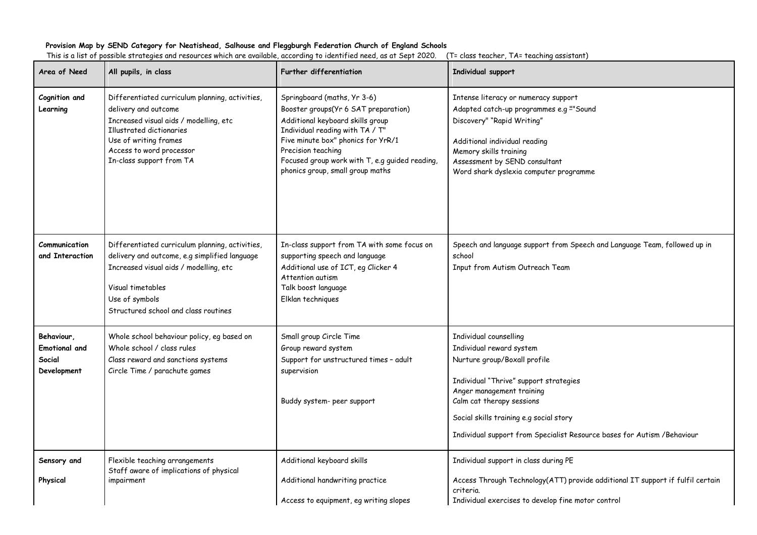## **Provision Map by SEND Category for Neatishead, Salhouse and Fleggburgh Federation Church of England Schools**

| Area of Need                                                | All pupils, in class                                                                                                                                                                                                                  | <b>Further differentiation</b>                                                                                                                                                                                                                                                               | Individual support                                                                                                                                                                                                                                                                                            |
|-------------------------------------------------------------|---------------------------------------------------------------------------------------------------------------------------------------------------------------------------------------------------------------------------------------|----------------------------------------------------------------------------------------------------------------------------------------------------------------------------------------------------------------------------------------------------------------------------------------------|---------------------------------------------------------------------------------------------------------------------------------------------------------------------------------------------------------------------------------------------------------------------------------------------------------------|
| Cognition and<br>Learning                                   | Differentiated curriculum planning, activities,<br>delivery and outcome<br>Increased visual aids / modelling, etc<br><b>Illustrated dictionaries</b><br>Use of writing frames<br>Access to word processor<br>In-class support from TA | Springboard (maths, Yr 3-6)<br>Booster groups(Yr 6 SAT preparation)<br>Additional keyboard skills group<br>Individual reading with TA / T"<br>Five minute box" phonics for YrR/1<br>Precision teaching<br>Focused group work with T, e.g guided reading,<br>phonics group, small group maths | Intense literacy or numeracy support<br>Adapted catch-up programmes e.g ""Sound<br>Discovery" "Rapid Writing"<br>Additional individual reading<br>Memory skills training<br>Assessment by SEND consultant<br>Word shark dyslexia computer programme                                                           |
| Communication<br>and Interaction                            | Differentiated curriculum planning, activities,<br>delivery and outcome, e.g simplified language<br>Increased visual aids / modelling, etc<br>Visual timetables<br>Use of symbols<br>Structured school and class routines             | In-class support from TA with some focus on<br>supporting speech and language<br>Additional use of ICT, eg Clicker 4<br>Attention autism<br>Talk boost language<br>Elklan techniques                                                                                                         | Speech and language support from Speech and Language Team, followed up in<br>school<br>Input from Autism Outreach Team                                                                                                                                                                                        |
| Behaviour,<br><b>Emotional and</b><br>Social<br>Development | Whole school behaviour policy, eg based on<br>Whole school / class rules<br>Class reward and sanctions systems<br>Circle Time / parachute games                                                                                       | Small group Circle Time<br>Group reward system<br>Support for unstructured times - adult<br>supervision<br>Buddy system- peer support                                                                                                                                                        | Individual counselling<br>Individual reward system<br>Nurture group/Boxall profile<br>Individual "Thrive" support strategies<br>Anger management training<br>Calm cat therapy sessions<br>Social skills training e.g social story<br>Individual support from Specialist Resource bases for Autism / Behaviour |
| Sensory and<br>Physical                                     | Flexible teaching arrangements<br>Staff aware of implications of physical<br>impairment                                                                                                                                               | Additional keyboard skills<br>Additional handwriting practice<br>Access to equipment, eg writing slopes                                                                                                                                                                                      | Individual support in class during PE<br>Access Through Technology(ATT) provide additional IT support if fulfil certain<br>criteria.<br>Individual exercises to develop fine motor control                                                                                                                    |

This is a list of possible strategies and resources which are available, according to identified need, as at Sept 2020. (T= class teacher, TA= teaching assistant)